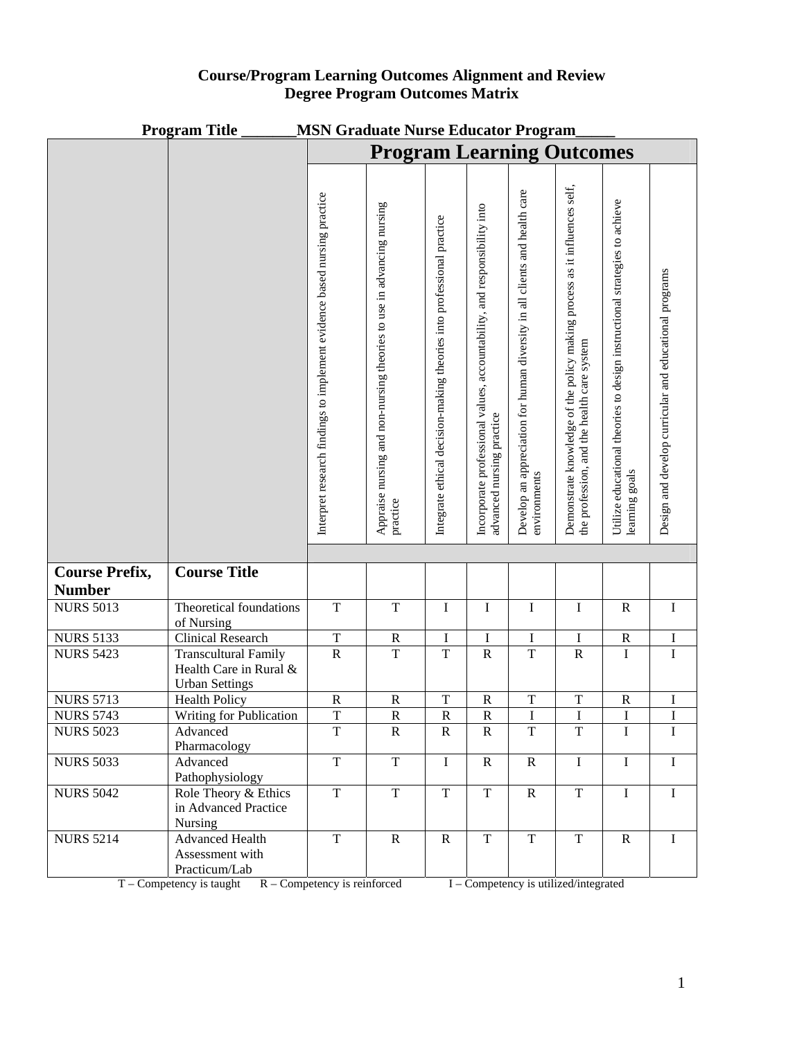| <b>Course/Program Learning Outcomes Alignment and Review</b> |
|--------------------------------------------------------------|
| <b>Degree Program Outcomes Matrix</b>                        |

| <b>Program Title</b><br><b>MSN Graduate Nurse Educator Program</b> |                                                                                |                                                                          |                                                                       |                                                                       |                                                                                                       |                                                                                            |                                                                                                                         |                                                                                              |                                                        |
|--------------------------------------------------------------------|--------------------------------------------------------------------------------|--------------------------------------------------------------------------|-----------------------------------------------------------------------|-----------------------------------------------------------------------|-------------------------------------------------------------------------------------------------------|--------------------------------------------------------------------------------------------|-------------------------------------------------------------------------------------------------------------------------|----------------------------------------------------------------------------------------------|--------------------------------------------------------|
|                                                                    |                                                                                | <b>Program Learning Outcomes</b>                                         |                                                                       |                                                                       |                                                                                                       |                                                                                            |                                                                                                                         |                                                                                              |                                                        |
|                                                                    |                                                                                |                                                                          |                                                                       |                                                                       |                                                                                                       |                                                                                            |                                                                                                                         |                                                                                              |                                                        |
|                                                                    |                                                                                | Interpret research findings to implement evidence based nursing practice | Appraise nursing and non-nursing theories to use in advancing nursing | Integrate ethical decision-making theories into professional practice | Incorporate professional values, accountability, and responsibility into<br>advanced nursing practice | Develop an appreciation for human diversity in all clients and health care<br>environments | Demonstrate knowledge of the policy making process as it influences self,<br>the profession, and the health care system | Utilize educational theories to design instructional strategies to achieve<br>learning goals | Design and develop curricular and educational programs |
|                                                                    |                                                                                |                                                                          | practice                                                              |                                                                       |                                                                                                       |                                                                                            |                                                                                                                         |                                                                                              |                                                        |
|                                                                    |                                                                                |                                                                          |                                                                       |                                                                       |                                                                                                       |                                                                                            |                                                                                                                         |                                                                                              |                                                        |
| <b>Course Prefix,</b>                                              | <b>Course Title</b>                                                            |                                                                          |                                                                       |                                                                       |                                                                                                       |                                                                                            |                                                                                                                         |                                                                                              |                                                        |
| <b>Number</b>                                                      |                                                                                |                                                                          |                                                                       |                                                                       |                                                                                                       |                                                                                            |                                                                                                                         |                                                                                              |                                                        |
| <b>NURS 5013</b>                                                   | Theoretical foundations<br>of Nursing                                          | $\mathbf T$                                                              | $\mathbf T$                                                           | $\bf I$                                                               | I                                                                                                     | I                                                                                          | I                                                                                                                       | $\mathbf R$                                                                                  | $\bf{I}$                                               |
| <b>NURS 5133</b>                                                   | <b>Clinical Research</b>                                                       | $\mathbf T$                                                              | ${\bf R}$                                                             | $\bf I$                                                               | $\bf I$                                                                                               | I                                                                                          | I                                                                                                                       | ${\bf R}$                                                                                    | I                                                      |
| <b>NURS 5423</b>                                                   | <b>Transcultural Family</b><br>Health Care in Rural &<br><b>Urban Settings</b> | $\overline{R}$                                                           | $\overline{T}$                                                        | $\overline{T}$                                                        | ${\bf R}$                                                                                             | $\overline{T}$                                                                             | ${\bf R}$                                                                                                               | $\rm I$                                                                                      | $\bf I$                                                |
| <b>NURS 5713</b>                                                   | <b>Health Policy</b>                                                           | ${\bf R}$                                                                | ${\bf R}$                                                             | $\mathbf T$                                                           | ${\bf R}$                                                                                             | T                                                                                          | $\mathbf T$                                                                                                             | $\mathbf R$                                                                                  | $\bf I$                                                |
| <b>NURS 5743</b>                                                   | Writing for Publication                                                        | $\mathbf T$                                                              | $\mathbf R$                                                           | $\mathbf R$                                                           | $\mathbf R$                                                                                           | I                                                                                          | $\bf{I}$                                                                                                                | I                                                                                            | $\bf{I}$                                               |
| <b>NURS 5023</b>                                                   | Advanced<br>Pharmacology                                                       | $\overline{T}$                                                           | $\mathbf R$                                                           | $\mathbf R$                                                           | $\mathbf R$                                                                                           | $\overline{T}$                                                                             | $\overline{T}$                                                                                                          | $\mathbf I$                                                                                  | $\mathbf I$                                            |
| <b>NURS 5033</b>                                                   | Advanced<br>Pathophysiology                                                    | $\overline{T}$                                                           | $\mathbf T$                                                           | $\bf{I}$                                                              | $\mathbf R$                                                                                           | $\mathbf R$                                                                                | $\mathbf I$                                                                                                             | $\mathbf I$                                                                                  | $\bf{I}$                                               |
| <b>NURS 5042</b>                                                   | Role Theory & Ethics<br>in Advanced Practice<br>Nursing                        | $\overline{T}$                                                           | $\mathbf T$                                                           | $\mathbf T$                                                           | $\mathbf T$                                                                                           | $\mathbf R$                                                                                | $\mathbf T$                                                                                                             | $\bf I$                                                                                      | $\bf{I}$                                               |
| <b>NURS 5214</b>                                                   | <b>Advanced Health</b><br>Assessment with<br>Practicum/Lab                     | $\mathbf T$                                                              | $\mathbb{R}$                                                          | $\mathbb{R}$                                                          | $\mathbf T$                                                                                           | $\mathbf T$                                                                                | $\mathbf T$                                                                                                             | $\mathbf R$                                                                                  | 1                                                      |

 $T$  – Competency is taught  $R$  – Competency is reinforced  $I$  – Competency is utilized/integrated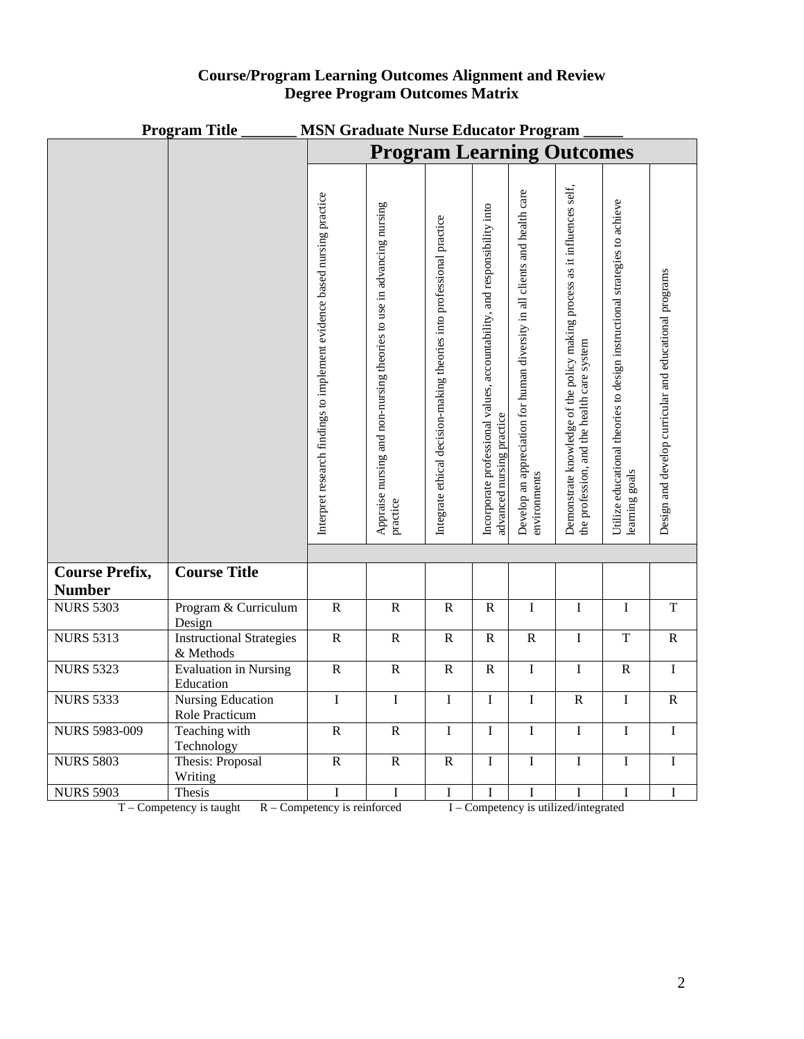| <b>Program Title</b><br><b>MSN Graduate Nurse Educator Program</b> |                                              |                                                                          |                                                                                   |                                                                       |                                                                                                       |                                                                                            |                                                                                                                         |                                                                                              |                                                        |
|--------------------------------------------------------------------|----------------------------------------------|--------------------------------------------------------------------------|-----------------------------------------------------------------------------------|-----------------------------------------------------------------------|-------------------------------------------------------------------------------------------------------|--------------------------------------------------------------------------------------------|-------------------------------------------------------------------------------------------------------------------------|----------------------------------------------------------------------------------------------|--------------------------------------------------------|
|                                                                    |                                              | <b>Program Learning Outcomes</b>                                         |                                                                                   |                                                                       |                                                                                                       |                                                                                            |                                                                                                                         |                                                                                              |                                                        |
|                                                                    |                                              |                                                                          |                                                                                   |                                                                       |                                                                                                       |                                                                                            |                                                                                                                         |                                                                                              |                                                        |
|                                                                    |                                              | Interpret research findings to implement evidence based nursing practice | Appraise nursing and non-nursing theories to use in advancing nursing<br>practice | Integrate ethical decision-making theories into professional practice | Incorporate professional values, accountability, and responsibility into<br>advanced nursing practice | Develop an appreciation for human diversity in all clients and health care<br>environments | Demonstrate knowledge of the policy making process as it influences self,<br>the profession, and the health care system | Utilize educational theories to design instructional strategies to achieve<br>learning goals | Design and develop curricular and educational programs |
|                                                                    |                                              |                                                                          |                                                                                   |                                                                       |                                                                                                       |                                                                                            |                                                                                                                         |                                                                                              |                                                        |
| <b>Course Prefix,</b>                                              | <b>Course Title</b>                          |                                                                          |                                                                                   |                                                                       |                                                                                                       |                                                                                            |                                                                                                                         |                                                                                              |                                                        |
| <b>Number</b>                                                      |                                              |                                                                          |                                                                                   |                                                                       |                                                                                                       |                                                                                            |                                                                                                                         |                                                                                              |                                                        |
| <b>NURS 5303</b>                                                   | Program & Curriculum<br>Design               | $\overline{R}$                                                           | $\overline{R}$                                                                    | $\, {\bf R}$                                                          | $\, {\bf R}$                                                                                          | $\mathbf I$                                                                                | $\mathbf I$                                                                                                             | $\mathbf I$                                                                                  | $\overline{T}$                                         |
| <b>NURS 5313</b>                                                   | <b>Instructional Strategies</b><br>& Methods | $\overline{R}$                                                           | $\overline{R}$                                                                    | $\overline{R}$                                                        | $\overline{R}$                                                                                        | $\overline{R}$                                                                             | $\mathbf I$                                                                                                             | $\overline{T}$                                                                               | $\overline{R}$                                         |
| <b>NURS 5323</b>                                                   | <b>Evaluation in Nursing</b><br>Education    | $\overline{R}$                                                           | $\mathbf R$                                                                       | $\, {\bf R}$                                                          | $\mathbf R$                                                                                           | $\mathbf I$                                                                                | $\mathbf I$                                                                                                             | ${\bf R}$                                                                                    | $\mathbf I$                                            |
| <b>NURS 5333</b>                                                   | <b>Nursing Education</b><br>Role Practicum   | $\mathbf I$                                                              | $\mathbf I$                                                                       | $\mathbf I$                                                           | $\mathbf I$                                                                                           | $\mathbf I$                                                                                | ${\bf R}$                                                                                                               | $\bf I$                                                                                      | $\mathbf R$                                            |
| <b>NURS 5983-009</b>                                               | Teaching with                                | $\overline{R}$                                                           | $\overline{R}$                                                                    | $\overline{I}$                                                        | I                                                                                                     | $\overline{I}$                                                                             | $\mathbf I$                                                                                                             | $\mathbf I$                                                                                  | $\overline{I}$                                         |
| <b>NURS 5803</b>                                                   | Technology<br>Thesis: Proposal<br>Writing    | $\overline{R}$                                                           | $\overline{R}$                                                                    | $\overline{R}$                                                        | $\mathbf I$                                                                                           | $\overline{I}$                                                                             | $\mathbf I$                                                                                                             | $\mathbf I$                                                                                  | $\rm I$                                                |
| <b>NURS 5903</b>                                                   | Thesis                                       | $\mathbf I$                                                              | I                                                                                 | $\bf I$                                                               | I                                                                                                     | $\bf I$                                                                                    | I                                                                                                                       | $\bf I$                                                                                      | $\bf I$                                                |

## **Course/Program Learning Outcomes Alignment and Review Degree Program Outcomes Matrix**

T – Competency is taught R – Competency is reinforced I – Competency is utilized/integrated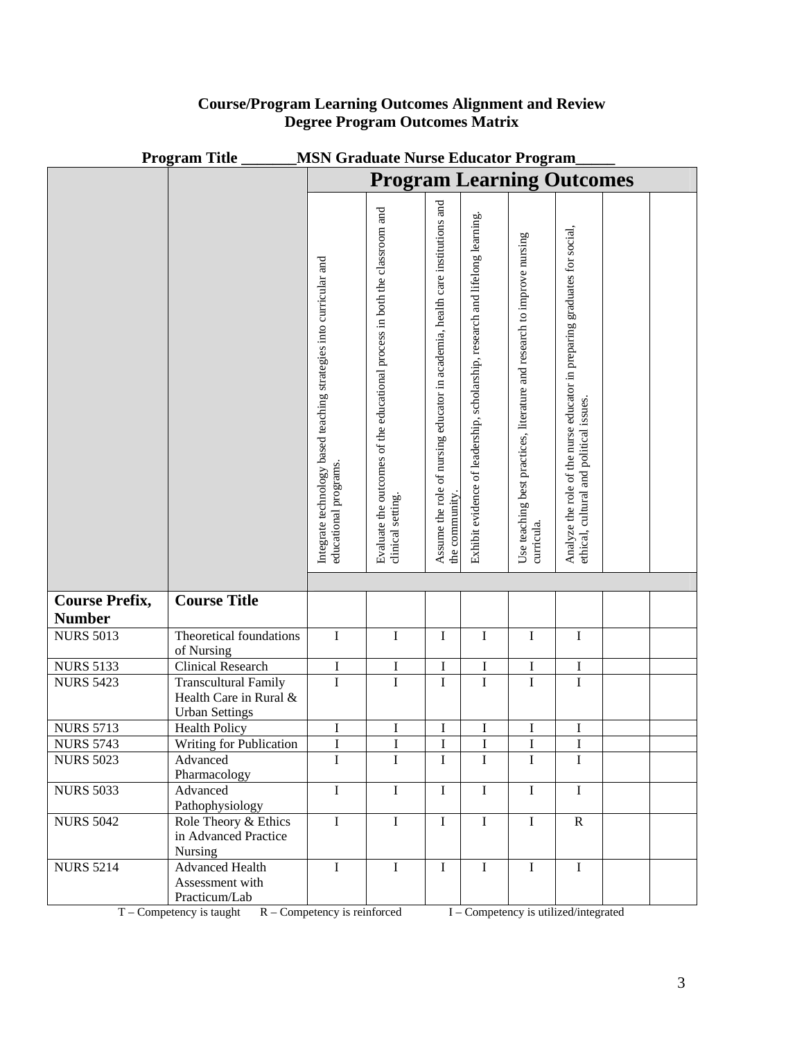|                       | <b>Program Title</b><br><b>MSN Graduate Nurse Educator Program</b> |                                                                                             |                                                                                              |                                                                                                |                                                                              |                                                                                       |                                                                                                                      |  |  |
|-----------------------|--------------------------------------------------------------------|---------------------------------------------------------------------------------------------|----------------------------------------------------------------------------------------------|------------------------------------------------------------------------------------------------|------------------------------------------------------------------------------|---------------------------------------------------------------------------------------|----------------------------------------------------------------------------------------------------------------------|--|--|
|                       |                                                                    | <b>Program Learning Outcomes</b>                                                            |                                                                                              |                                                                                                |                                                                              |                                                                                       |                                                                                                                      |  |  |
|                       |                                                                    |                                                                                             |                                                                                              |                                                                                                |                                                                              |                                                                                       |                                                                                                                      |  |  |
|                       |                                                                    |                                                                                             |                                                                                              |                                                                                                |                                                                              |                                                                                       |                                                                                                                      |  |  |
|                       |                                                                    |                                                                                             |                                                                                              |                                                                                                |                                                                              |                                                                                       |                                                                                                                      |  |  |
|                       |                                                                    |                                                                                             |                                                                                              |                                                                                                |                                                                              |                                                                                       |                                                                                                                      |  |  |
|                       |                                                                    |                                                                                             |                                                                                              |                                                                                                |                                                                              |                                                                                       |                                                                                                                      |  |  |
|                       |                                                                    |                                                                                             |                                                                                              |                                                                                                |                                                                              |                                                                                       |                                                                                                                      |  |  |
|                       |                                                                    |                                                                                             |                                                                                              |                                                                                                |                                                                              |                                                                                       |                                                                                                                      |  |  |
|                       |                                                                    |                                                                                             |                                                                                              |                                                                                                |                                                                              |                                                                                       |                                                                                                                      |  |  |
|                       |                                                                    |                                                                                             |                                                                                              |                                                                                                |                                                                              |                                                                                       |                                                                                                                      |  |  |
|                       |                                                                    |                                                                                             |                                                                                              |                                                                                                |                                                                              |                                                                                       |                                                                                                                      |  |  |
|                       |                                                                    |                                                                                             |                                                                                              |                                                                                                |                                                                              |                                                                                       |                                                                                                                      |  |  |
|                       |                                                                    |                                                                                             |                                                                                              |                                                                                                |                                                                              |                                                                                       |                                                                                                                      |  |  |
|                       |                                                                    |                                                                                             |                                                                                              |                                                                                                |                                                                              |                                                                                       |                                                                                                                      |  |  |
|                       |                                                                    |                                                                                             |                                                                                              |                                                                                                |                                                                              |                                                                                       |                                                                                                                      |  |  |
|                       |                                                                    |                                                                                             |                                                                                              |                                                                                                |                                                                              |                                                                                       |                                                                                                                      |  |  |
|                       |                                                                    |                                                                                             |                                                                                              |                                                                                                |                                                                              |                                                                                       |                                                                                                                      |  |  |
|                       |                                                                    |                                                                                             |                                                                                              |                                                                                                |                                                                              |                                                                                       |                                                                                                                      |  |  |
|                       |                                                                    |                                                                                             |                                                                                              |                                                                                                |                                                                              |                                                                                       |                                                                                                                      |  |  |
|                       |                                                                    |                                                                                             |                                                                                              |                                                                                                |                                                                              |                                                                                       |                                                                                                                      |  |  |
|                       |                                                                    |                                                                                             |                                                                                              |                                                                                                |                                                                              |                                                                                       |                                                                                                                      |  |  |
|                       |                                                                    | Integrate technology based teaching strategies into curricular and<br>educational programs. | Evaluate the outcomes of the educational process in both the classroom and clinical setting. | Assume the role of nursing educator in academia, health care institutions and<br>the community | Exhibit evidence of leadership, scholarship, research and lifelong learning. | Use teaching best practices, literature and research to improve nursing<br>curricula. | Analyze the role of the nurse educator in preparing graduates for social,<br>ethical, cultural and political issues. |  |  |
|                       |                                                                    |                                                                                             |                                                                                              |                                                                                                |                                                                              |                                                                                       |                                                                                                                      |  |  |
|                       |                                                                    |                                                                                             |                                                                                              |                                                                                                |                                                                              |                                                                                       |                                                                                                                      |  |  |
| <b>Course Prefix,</b> | <b>Course Title</b>                                                |                                                                                             |                                                                                              |                                                                                                |                                                                              |                                                                                       |                                                                                                                      |  |  |
| <b>Number</b>         |                                                                    |                                                                                             |                                                                                              |                                                                                                |                                                                              |                                                                                       |                                                                                                                      |  |  |
| <b>NURS 5013</b>      | Theoretical foundations                                            | I                                                                                           | $\bf I$                                                                                      | I                                                                                              | $\bf I$                                                                      | $\rm I$                                                                               | I                                                                                                                    |  |  |
|                       | of Nursing                                                         |                                                                                             |                                                                                              |                                                                                                |                                                                              |                                                                                       |                                                                                                                      |  |  |
| <b>NURS 5133</b>      | <b>Clinical Research</b>                                           | $\rm I$                                                                                     | $\rm I$                                                                                      | $\bf I$                                                                                        | $\bf I$                                                                      | $\bf I$                                                                               | I                                                                                                                    |  |  |
| <b>NURS 5423</b>      | <b>Transcultural Family</b>                                        | $\mathbf I$                                                                                 | $\mathbf I$                                                                                  | $\bf I$                                                                                        | $\rm I$                                                                      | $\rm I$                                                                               | $\mathbf I$                                                                                                          |  |  |
|                       | Health Care in Rural &                                             |                                                                                             |                                                                                              |                                                                                                |                                                                              |                                                                                       |                                                                                                                      |  |  |
| <b>NURS 5713</b>      | <b>Urban Settings</b><br><b>Health Policy</b>                      | I                                                                                           | I                                                                                            | I                                                                                              | I                                                                            | I                                                                                     | I                                                                                                                    |  |  |
| <b>NURS 5743</b>      | <b>Writing for Publication</b>                                     | $\mathbf{I}$                                                                                | T                                                                                            | $\mathbf{I}$                                                                                   | $\mathbf{I}$                                                                 | $\mathbf{I}$                                                                          | $\mathbf{I}$                                                                                                         |  |  |
| <b>NURS 5023</b>      | Advanced                                                           | $\mathbf I$                                                                                 | $\overline{I}$                                                                               | I                                                                                              | $\mathbf I$                                                                  | $\mathbf I$                                                                           | I                                                                                                                    |  |  |
|                       | Pharmacology                                                       |                                                                                             |                                                                                              |                                                                                                |                                                                              |                                                                                       |                                                                                                                      |  |  |
| <b>NURS 5033</b>      | Advanced                                                           | $\mathbf I$                                                                                 | $\bf I$                                                                                      | $\bf I$                                                                                        | $\bf I$                                                                      | $\bf I$                                                                               | $\mathbf I$                                                                                                          |  |  |
|                       | Pathophysiology                                                    |                                                                                             |                                                                                              |                                                                                                |                                                                              |                                                                                       |                                                                                                                      |  |  |
| <b>NURS 5042</b>      | Role Theory & Ethics                                               | $\mathbf I$                                                                                 | $\bf I$                                                                                      | I                                                                                              | $\mathbf I$                                                                  | $\mathbf I$                                                                           | $\mathbf R$                                                                                                          |  |  |
|                       | in Advanced Practice                                               |                                                                                             |                                                                                              |                                                                                                |                                                                              |                                                                                       |                                                                                                                      |  |  |
|                       | Nursing<br><b>Advanced Health</b>                                  | $\mathbf I$                                                                                 | $\mathbf I$                                                                                  | $\mathbf I$                                                                                    | $\mathbf I$                                                                  | $\mathbf I$                                                                           | $\mathbf I$                                                                                                          |  |  |
| <b>NURS 5214</b>      | Assessment with                                                    |                                                                                             |                                                                                              |                                                                                                |                                                                              |                                                                                       |                                                                                                                      |  |  |
|                       | Practicum/Lab                                                      |                                                                                             |                                                                                              |                                                                                                |                                                                              |                                                                                       |                                                                                                                      |  |  |
|                       |                                                                    |                                                                                             |                                                                                              |                                                                                                |                                                                              |                                                                                       |                                                                                                                      |  |  |

## **Course/Program Learning Outcomes Alignment and Review Degree Program Outcomes Matrix**

T – Competency is taught R – Competency is reinforced I – Competency is utilized/integrated